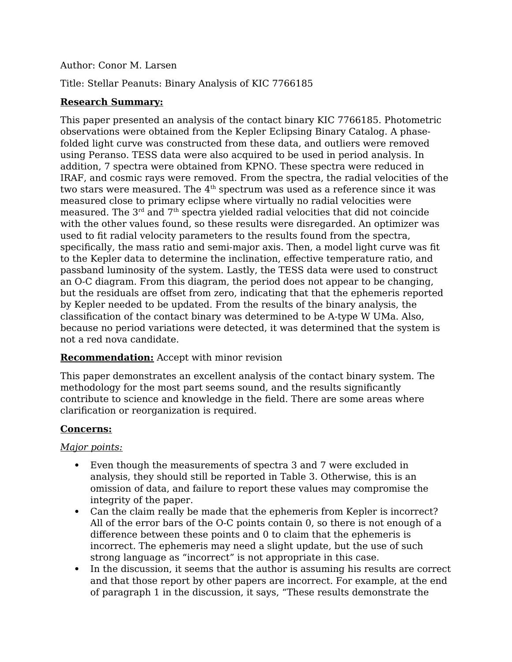### Author: Conor M. Larsen

Title: Stellar Peanuts: Binary Analysis of KIC 7766185

### **Research Summary:**

This paper presented an analysis of the contact binary KIC 7766185. Photometric observations were obtained from the Kepler Eclipsing Binary Catalog. A phasefolded light curve was constructed from these data, and outliers were removed using Peranso. TESS data were also acquired to be used in period analysis. In addition, 7 spectra were obtained from KPNO. These spectra were reduced in IRAF, and cosmic rays were removed. From the spectra, the radial velocities of the two stars were measured. The  $4<sup>th</sup>$  spectrum was used as a reference since it was measured close to primary eclipse where virtually no radial velocities were measured. The  $3<sup>rd</sup>$  and  $7<sup>th</sup>$  spectra yielded radial velocities that did not coincide with the other values found, so these results were disregarded. An optimizer was used to fit radial velocity parameters to the results found from the spectra, specifically, the mass ratio and semi-major axis. Then, a model light curve was fit to the Kepler data to determine the inclination, effective temperature ratio, and passband luminosity of the system. Lastly, the TESS data were used to construct an O-C diagram. From this diagram, the period does not appear to be changing, but the residuals are offset from zero, indicating that that the ephemeris reported by Kepler needed to be updated. From the results of the binary analysis, the classification of the contact binary was determined to be A-type W UMa. Also, because no period variations were detected, it was determined that the system is not a red nova candidate.

### **Recommendation:** Accept with minor revision

This paper demonstrates an excellent analysis of the contact binary system. The methodology for the most part seems sound, and the results significantly contribute to science and knowledge in the field. There are some areas where clarification or reorganization is required.

### **Concerns:**

### *Major points:*

- Even though the measurements of spectra 3 and 7 were excluded in analysis, they should still be reported in Table 3. Otherwise, this is an omission of data, and failure to report these values may compromise the integrity of the paper.
- Can the claim really be made that the ephemeris from Kepler is incorrect? All of the error bars of the O-C points contain 0, so there is not enough of a difference between these points and 0 to claim that the ephemeris is incorrect. The ephemeris may need a slight update, but the use of such strong language as "incorrect" is not appropriate in this case.
- In the discussion, it seems that the author is assuming his results are correct and that those report by other papers are incorrect. For example, at the end of paragraph 1 in the discussion, it says, "These results demonstrate the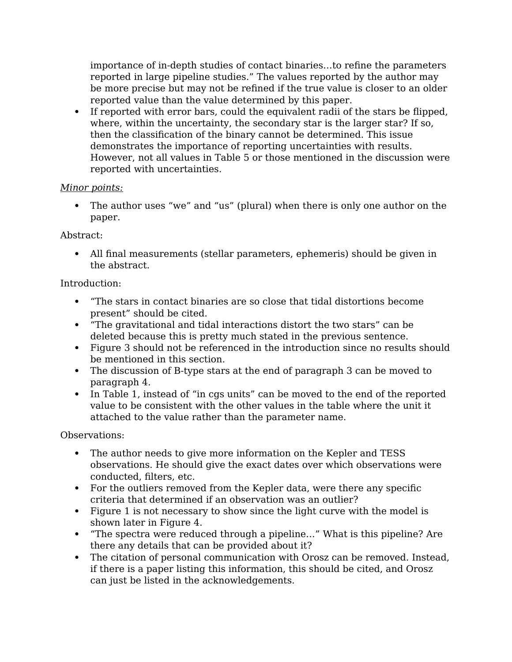importance of in-depth studies of contact binaries…to refine the parameters reported in large pipeline studies." The values reported by the author may be more precise but may not be refined if the true value is closer to an older reported value than the value determined by this paper.

 If reported with error bars, could the equivalent radii of the stars be flipped, where, within the uncertainty, the secondary star is the larger star? If so, then the classification of the binary cannot be determined. This issue demonstrates the importance of reporting uncertainties with results. However, not all values in Table 5 or those mentioned in the discussion were reported with uncertainties.

### *Minor points:*

 The author uses "we" and "us" (plural) when there is only one author on the paper.

Abstract:

 All final measurements (stellar parameters, ephemeris) should be given in the abstract.

### Introduction:

- "The stars in contact binaries are so close that tidal distortions become present" should be cited.
- "The gravitational and tidal interactions distort the two stars" can be deleted because this is pretty much stated in the previous sentence.
- Figure 3 should not be referenced in the introduction since no results should be mentioned in this section.
- The discussion of B-type stars at the end of paragraph 3 can be moved to paragraph 4.
- In Table 1, instead of "in cgs units" can be moved to the end of the reported value to be consistent with the other values in the table where the unit it attached to the value rather than the parameter name.

# Observations:

- The author needs to give more information on the Kepler and TESS observations. He should give the exact dates over which observations were conducted, filters, etc.
- For the outliers removed from the Kepler data, were there any specific criteria that determined if an observation was an outlier?
- Figure 1 is not necessary to show since the light curve with the model is shown later in Figure 4.
- "The spectra were reduced through a pipeline…" What is this pipeline? Are there any details that can be provided about it?
- The citation of personal communication with Orosz can be removed. Instead, if there is a paper listing this information, this should be cited, and Orosz can just be listed in the acknowledgements.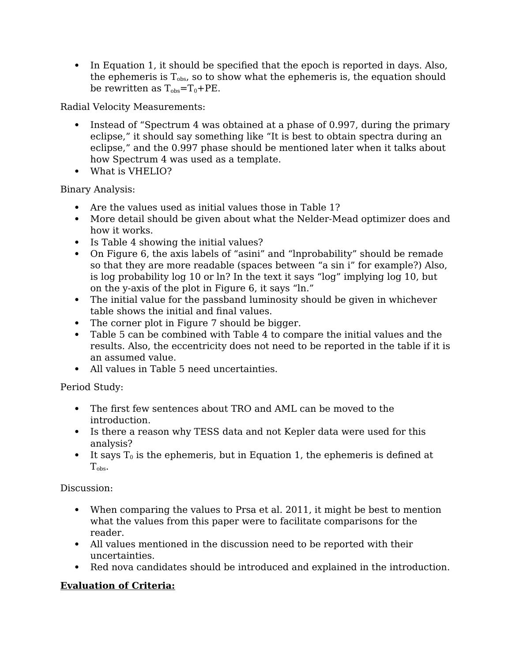• In Equation 1, it should be specified that the epoch is reported in days. Also, the ephemeris is  $T_{obs}$ , so to show what the ephemeris is, the equation should be rewritten as  $T_{obs} = T_0 + PE$ .

Radial Velocity Measurements:

- Instead of "Spectrum 4 was obtained at a phase of 0.997, during the primary eclipse," it should say something like "It is best to obtain spectra during an eclipse," and the 0.997 phase should be mentioned later when it talks about how Spectrum 4 was used as a template.
- What is VHELIO?

Binary Analysis:

- Are the values used as initial values those in Table 1?
- More detail should be given about what the Nelder-Mead optimizer does and how it works.
- Is Table 4 showing the initial values?
- On Figure 6, the axis labels of "asini" and "lnprobability" should be remade so that they are more readable (spaces between "a sin i" for example?) Also, is log probability log 10 or ln? In the text it says "log" implying log 10, but on the y-axis of the plot in Figure 6, it says "ln."
- The initial value for the passband luminosity should be given in whichever table shows the initial and final values.
- The corner plot in Figure 7 should be bigger.
- Table 5 can be combined with Table 4 to compare the initial values and the results. Also, the eccentricity does not need to be reported in the table if it is an assumed value.
- All values in Table 5 need uncertainties.

Period Study:

- The first few sentences about TRO and AML can be moved to the introduction.
- Is there a reason why TESS data and not Kepler data were used for this analysis?
- It says  $T_0$  is the ephemeris, but in Equation 1, the ephemeris is defined at T<sub>obs</sub>.

Discussion:

- When comparing the values to Prsa et al. 2011, it might be best to mention what the values from this paper were to facilitate comparisons for the reader.
- All values mentioned in the discussion need to be reported with their uncertainties.
- Red nova candidates should be introduced and explained in the introduction.

# **Evaluation of Criteria:**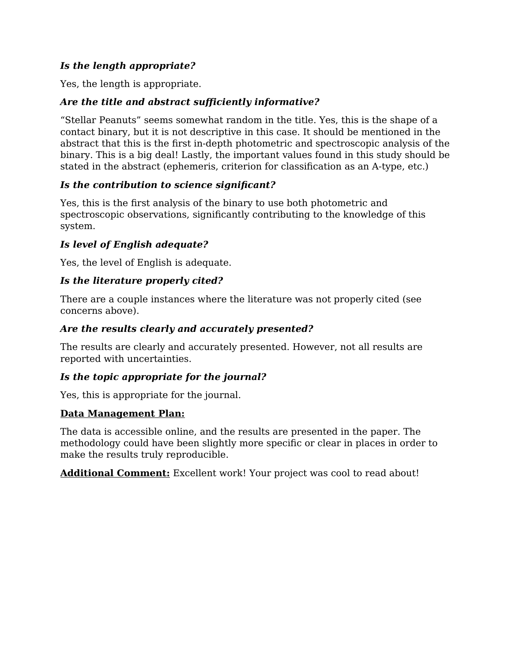# *Is the length appropriate?*

Yes, the length is appropriate.

# *Are the title and abstract sufficiently informative?*

"Stellar Peanuts" seems somewhat random in the title. Yes, this is the shape of a contact binary, but it is not descriptive in this case. It should be mentioned in the abstract that this is the first in-depth photometric and spectroscopic analysis of the binary. This is a big deal! Lastly, the important values found in this study should be stated in the abstract (ephemeris, criterion for classification as an A-type, etc.)

# *Is the contribution to science significant?*

Yes, this is the first analysis of the binary to use both photometric and spectroscopic observations, significantly contributing to the knowledge of this system.

# *Is level of English adequate?*

Yes, the level of English is adequate.

# *Is the literature properly cited?*

There are a couple instances where the literature was not properly cited (see concerns above).

# *Are the results clearly and accurately presented?*

The results are clearly and accurately presented. However, not all results are reported with uncertainties.

# *Is the topic appropriate for the journal?*

Yes, this is appropriate for the journal.

# **Data Management Plan:**

The data is accessible online, and the results are presented in the paper. The methodology could have been slightly more specific or clear in places in order to make the results truly reproducible.

**Additional Comment:** Excellent work! Your project was cool to read about!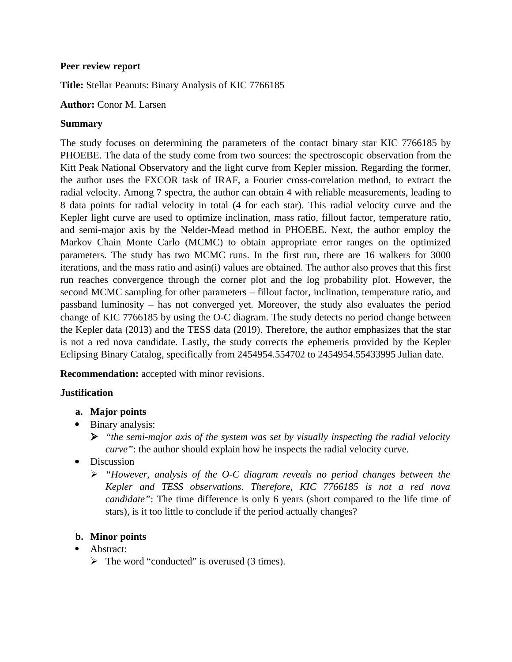#### **Peer review report**

**Title:** Stellar Peanuts: Binary Analysis of KIC 7766185

#### **Author:** Conor M. Larsen

#### **Summary**

The study focuses on determining the parameters of the contact binary star KIC 7766185 by PHOEBE. The data of the study come from two sources: the spectroscopic observation from the Kitt Peak National Observatory and the light curve from Kepler mission. Regarding the former, the author uses the FXCOR task of IRAF, a Fourier cross-correlation method, to extract the radial velocity. Among 7 spectra, the author can obtain 4 with reliable measurements, leading to 8 data points for radial velocity in total (4 for each star). This radial velocity curve and the Kepler light curve are used to optimize inclination, mass ratio, fillout factor, temperature ratio, and semi-major axis by the Nelder-Mead method in PHOEBE. Next, the author employ the Markov Chain Monte Carlo (MCMC) to obtain appropriate error ranges on the optimized parameters. The study has two MCMC runs. In the first run, there are 16 walkers for 3000 iterations, and the mass ratio and asin(i) values are obtained. The author also proves that this first run reaches convergence through the corner plot and the log probability plot. However, the second MCMC sampling for other parameters – fillout factor, inclination, temperature ratio, and passband luminosity – has not converged yet. Moreover, the study also evaluates the period change of KIC 7766185 by using the O-C diagram. The study detects no period change between the Kepler data (2013) and the TESS data (2019). Therefore, the author emphasizes that the star is not a red nova candidate. Lastly, the study corrects the ephemeris provided by the Kepler Eclipsing Binary Catalog, specifically from 2454954.554702 to 2454954.55433995 Julian date.

**Recommendation:** accepted with minor revisions.

#### **Justification**

- **a. Major points**
- Binary analysis:
	- *"the semi-major axis of the system was set by visually inspecting the radial velocity curve"*: the author should explain how he inspects the radial velocity curve.
- **Discussion** 
	- *"However, analysis of the O-C diagram reveals no period changes between the Kepler and TESS observations. Therefore, KIC 7766185 is not a red nova candidate"*: The time difference is only 6 years (short compared to the life time of stars), is it too little to conclude if the period actually changes?

### **b. Minor points**

- Abstract:
	- $\triangleright$  The word "conducted" is overused (3 times).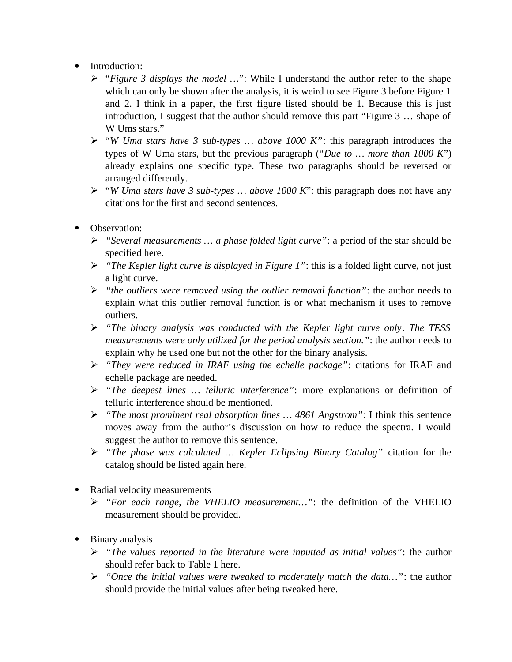- Introduction:
	- "*Figure 3 displays the model …*": While I understand the author refer to the shape which can only be shown after the analysis, it is weird to see Figure 3 before Figure 1 and 2. I think in a paper, the first figure listed should be 1. Because this is just introduction, I suggest that the author should remove this part "Figure 3 … shape of W Ums stars."
	- "*W Uma stars have 3 sub-types … above 1000 K"*: this paragraph introduces the types of W Uma stars, but the previous paragraph ("*Due to … more than 1000 K*") already explains one specific type. These two paragraphs should be reversed or arranged differently.
	- "*W Uma stars have 3 sub-types … above 1000 K*": this paragraph does not have any citations for the first and second sentences.
- Observation:
	- *"Several measurements … a phase folded light curve"*: a period of the star should be specified here.
	- *"The Kepler light curve is displayed in Figure 1"*: this is a folded light curve, not just a light curve.
	- *"the outliers were removed using the outlier removal function"*: the author needs to explain what this outlier removal function is or what mechanism it uses to remove outliers.
	- *"The binary analysis was conducted with the Kepler light curve only*. *The TESS measurements were only utilized for the period analysis section."*: the author needs to explain why he used one but not the other for the binary analysis.
	- *"They were reduced in IRAF using the echelle package"*: citations for IRAF and echelle package are needed.
	- *"The deepest lines … telluric interference"*: more explanations or definition of telluric interference should be mentioned.
	- *"The most prominent real absorption lines … 4861 Angstrom"*: I think this sentence moves away from the author's discussion on how to reduce the spectra. I would suggest the author to remove this sentence.
	- *"The phase was calculated … Kepler Eclipsing Binary Catalog"* citation for the catalog should be listed again here.
- Radial velocity measurements
	- *"For each range, the VHELIO measurement…"*: the definition of the VHELIO measurement should be provided.
- Binary analysis
	- *"The values reported in the literature were inputted as initial values"*: the author should refer back to Table 1 here.
	- *"Once the initial values were tweaked to moderately match the data…"*: the author should provide the initial values after being tweaked here.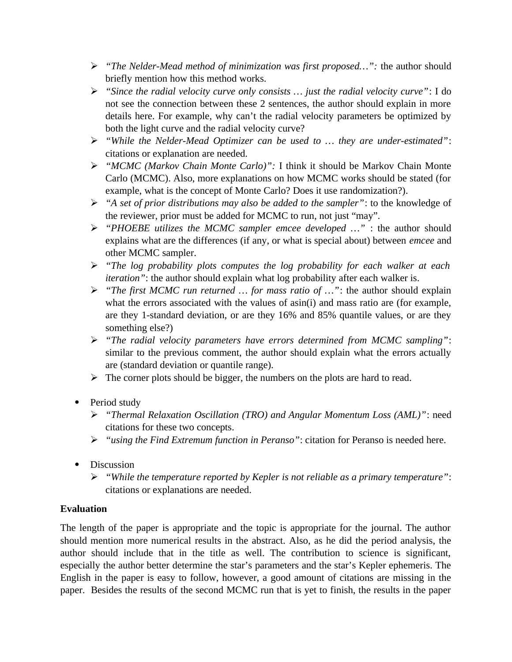- *"The Nelder-Mead method of minimization was first proposed…":* the author should briefly mention how this method works.
- *"Since the radial velocity curve only consists … just the radial velocity curve"*: I do not see the connection between these 2 sentences, the author should explain in more details here. For example, why can't the radial velocity parameters be optimized by both the light curve and the radial velocity curve?
- *"While the Nelder-Mead Optimizer can be used to … they are under-estimated"*: citations or explanation are needed.
- *"MCMC (Markov Chain Monte Carlo)":* I think it should be Markov Chain Monte Carlo (MCMC). Also, more explanations on how MCMC works should be stated (for example, what is the concept of Monte Carlo? Does it use randomization?).
- *"A set of prior distributions may also be added to the sampler"*: to the knowledge of the reviewer, prior must be added for MCMC to run, not just "may".
- *"PHOEBE utilizes the MCMC sampler emcee developed …"* : the author should explains what are the differences (if any, or what is special about) between *emcee* and other MCMC sampler.
- *"The log probability plots computes the log probability for each walker at each iteration"*: the author should explain what log probability after each walker is.
- *"The first MCMC run returned … for mass ratio of …"*: the author should explain what the errors associated with the values of asin(i) and mass ratio are (for example, are they 1-standard deviation, or are they 16% and 85% quantile values, or are they something else?)
- *"The radial velocity parameters have errors determined from MCMC sampling"*: similar to the previous comment, the author should explain what the errors actually are (standard deviation or quantile range).
- $\triangleright$  The corner plots should be bigger, the numbers on the plots are hard to read.
- Period study
	- *"Thermal Relaxation Oscillation (TRO) and Angular Momentum Loss (AML)"*: need citations for these two concepts.
	- *"using the Find Extremum function in Peranso"*: citation for Peranso is needed here.
- Discussion
	- *"While the temperature reported by Kepler is not reliable as a primary temperature"*: citations or explanations are needed.

# **Evaluation**

The length of the paper is appropriate and the topic is appropriate for the journal. The author should mention more numerical results in the abstract. Also, as he did the period analysis, the author should include that in the title as well. The contribution to science is significant, especially the author better determine the star's parameters and the star's Kepler ephemeris. The English in the paper is easy to follow, however, a good amount of citations are missing in the paper. Besides the results of the second MCMC run that is yet to finish, the results in the paper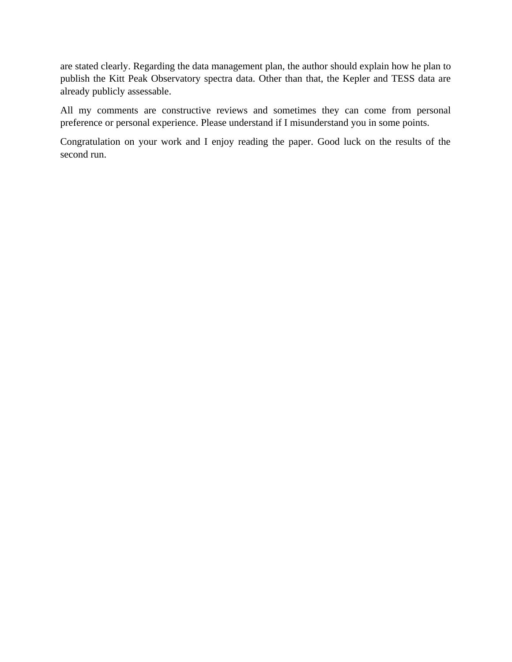are stated clearly. Regarding the data management plan, the author should explain how he plan to publish the Kitt Peak Observatory spectra data. Other than that, the Kepler and TESS data are already publicly assessable.

All my comments are constructive reviews and sometimes they can come from personal preference or personal experience. Please understand if I misunderstand you in some points.

Congratulation on your work and I enjoy reading the paper. Good luck on the results of the second run.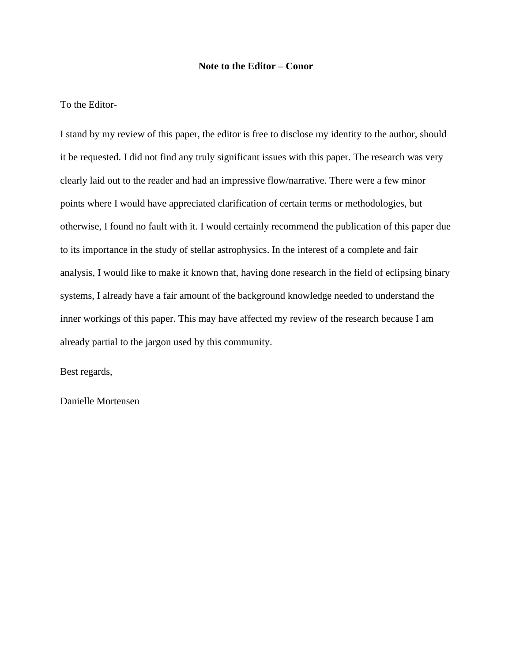#### **Note to the Editor – Conor**

#### To the Editor-

I stand by my review of this paper, the editor is free to disclose my identity to the author, should it be requested. I did not find any truly significant issues with this paper. The research was very clearly laid out to the reader and had an impressive flow/narrative. There were a few minor points where I would have appreciated clarification of certain terms or methodologies, but otherwise, I found no fault with it. I would certainly recommend the publication of this paper due to its importance in the study of stellar astrophysics. In the interest of a complete and fair analysis, I would like to make it known that, having done research in the field of eclipsing binary systems, I already have a fair amount of the background knowledge needed to understand the inner workings of this paper. This may have affected my review of the research because I am already partial to the jargon used by this community.

Best regards,

Danielle Mortensen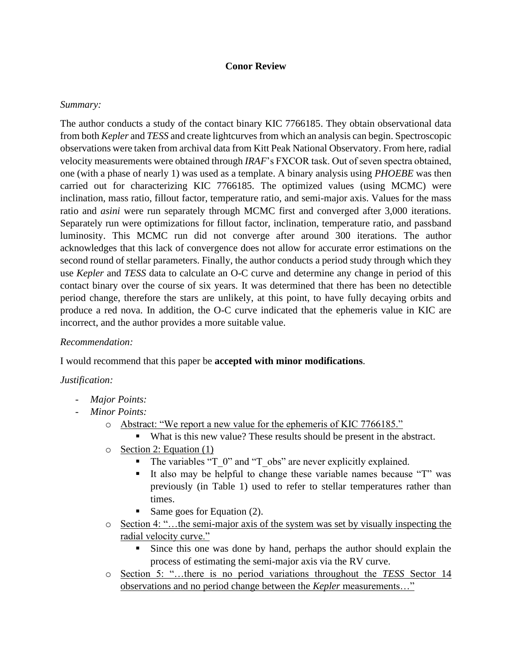#### **Conor Review**

#### *Summary:*

The author conducts a study of the contact binary KIC 7766185. They obtain observational data from both *Kepler* and *TESS* and create lightcurves from which an analysis can begin. Spectroscopic observations were taken from archival data from Kitt Peak National Observatory. From here, radial velocity measurements were obtained through *IRAF*'s FXCOR task. Out of seven spectra obtained, one (with a phase of nearly 1) was used as a template. A binary analysis using *PHOEBE* was then carried out for characterizing KIC 7766185. The optimized values (using MCMC) were inclination, mass ratio, fillout factor, temperature ratio, and semi-major axis. Values for the mass ratio and *asini* were run separately through MCMC first and converged after 3,000 iterations. Separately run were optimizations for fillout factor, inclination, temperature ratio, and passband luminosity. This MCMC run did not converge after around 300 iterations. The author acknowledges that this lack of convergence does not allow for accurate error estimations on the second round of stellar parameters. Finally, the author conducts a period study through which they use *Kepler* and *TESS* data to calculate an O-C curve and determine any change in period of this contact binary over the course of six years. It was determined that there has been no detectible period change, therefore the stars are unlikely, at this point, to have fully decaying orbits and produce a red nova. In addition, the O-C curve indicated that the ephemeris value in KIC are incorrect, and the author provides a more suitable value.

### *Recommendation:*

I would recommend that this paper be **accepted with minor modifications**.

### *Justification:*

- *Major Points:*
- *Minor Points:*
	- o Abstract: "We report a new value for the ephemeris of KIC 7766185."
		- What is this new value? These results should be present in the abstract.
	- o Section 2: Equation (1)
		- The variables "T\_0" and "T\_obs" are never explicitly explained.
		- It also may be helpful to change these variable names because "T" was previously (in Table 1) used to refer to stellar temperatures rather than times.
		- Same goes for Equation (2).
	- o Section 4: "…the semi-major axis of the system was set by visually inspecting the radial velocity curve."
		- Since this one was done by hand, perhaps the author should explain the process of estimating the semi-major axis via the RV curve.
	- o Section 5: "…there is no period variations throughout the *TESS* Sector 14 observations and no period change between the *Kepler* measurements…"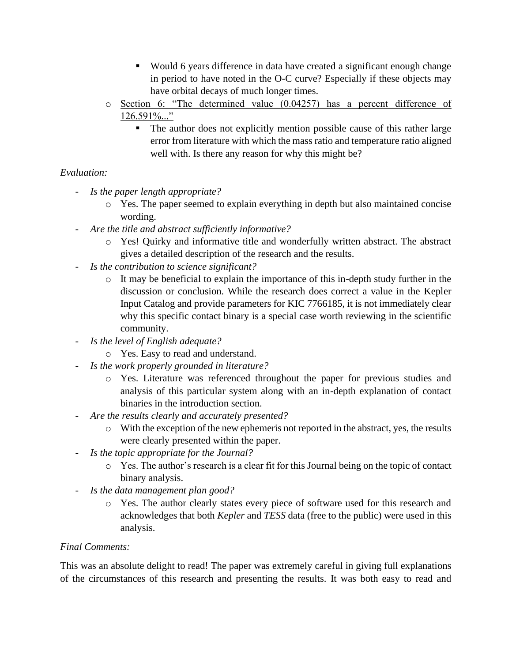- Would 6 years difference in data have created a significant enough change in period to have noted in the O-C curve? Especially if these objects may have orbital decays of much longer times.
- o Section 6: "The determined value (0.04257) has a percent difference of 126.591%..."
	- The author does not explicitly mention possible cause of this rather large error from literature with which the mass ratio and temperature ratio aligned well with. Is there any reason for why this might be?

# *Evaluation:*

- *Is the paper length appropriate?*
	- o Yes. The paper seemed to explain everything in depth but also maintained concise wording.
- *Are the title and abstract sufficiently informative?*
	- o Yes! Quirky and informative title and wonderfully written abstract. The abstract gives a detailed description of the research and the results.
- *Is the contribution to science significant?*
	- o It may be beneficial to explain the importance of this in-depth study further in the discussion or conclusion. While the research does correct a value in the Kepler Input Catalog and provide parameters for KIC 7766185, it is not immediately clear why this specific contact binary is a special case worth reviewing in the scientific community.
- *Is the level of English adequate?*
	- o Yes. Easy to read and understand.
- *Is the work properly grounded in literature?*
	- o Yes. Literature was referenced throughout the paper for previous studies and analysis of this particular system along with an in-depth explanation of contact binaries in the introduction section.
- *Are the results clearly and accurately presented?*
	- o With the exception of the new ephemeris not reported in the abstract, yes, the results were clearly presented within the paper.
- *Is the topic appropriate for the Journal?*
	- o Yes. The author's research is a clear fit for this Journal being on the topic of contact binary analysis.
- *Is the data management plan good?*
	- o Yes. The author clearly states every piece of software used for this research and acknowledges that both *Kepler* and *TESS* data (free to the public) were used in this analysis.

# *Final Comments:*

This was an absolute delight to read! The paper was extremely careful in giving full explanations of the circumstances of this research and presenting the results. It was both easy to read and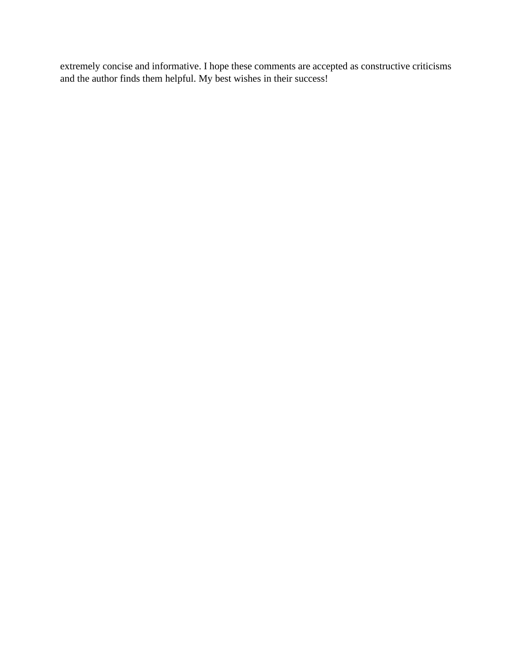extremely concise and informative. I hope these comments are accepted as constructive criticisms and the author finds them helpful. My best wishes in their success!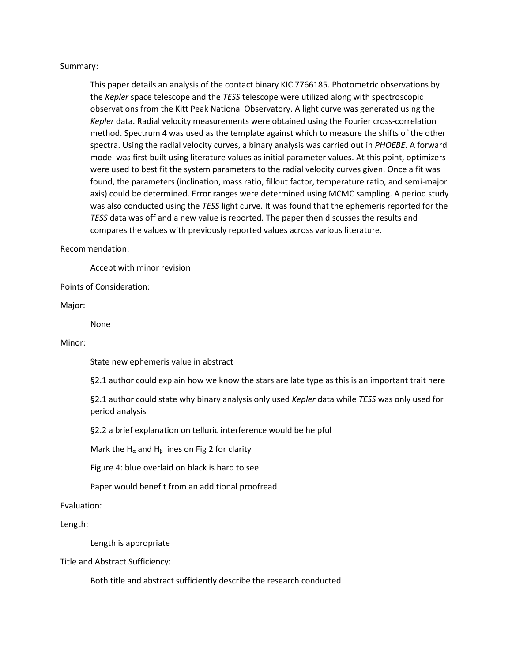#### Summary:

This paper details an analysis of the contact binary KIC 7766185. Photometric observations by the *Kepler* space telescope and the *TESS* telescope were utilized along with spectroscopic observations from the Kitt Peak National Observatory. A light curve was generated using the *Kepler* data. Radial velocity measurements were obtained using the Fourier cross-correlation method. Spectrum 4 was used as the template against which to measure the shifts of the other spectra. Using the radial velocity curves, a binary analysis was carried out in *PHOEBE*. A forward model was first built using literature values as initial parameter values. At this point, optimizers were used to best fit the system parameters to the radial velocity curves given. Once a fit was found, the parameters (inclination, mass ratio, fillout factor, temperature ratio, and semi-major axis) could be determined. Error ranges were determined using MCMC sampling. A period study was also conducted using the *TESS* light curve. It was found that the ephemeris reported for the *TESS* data was off and a new value is reported. The paper then discusses the results and compares the values with previously reported values across various literature.

#### Recommendation:

Accept with minor revision

Points of Consideration:

Major:

None

#### Minor:

State new ephemeris value in abstract

§2.1 author could explain how we know the stars are late type as this is an important trait here

§2.1 author could state why binary analysis only used *Kepler* data while *TESS* was only used for period analysis

§2.2 a brief explanation on telluric interference would be helpful

Mark the H<sub>α</sub> and H<sub>β</sub> lines on Fig 2 for clarity

Figure 4: blue overlaid on black is hard to see

Paper would benefit from an additional proofread

#### Evaluation:

Length:

Length is appropriate

Title and Abstract Sufficiency:

Both title and abstract sufficiently describe the research conducted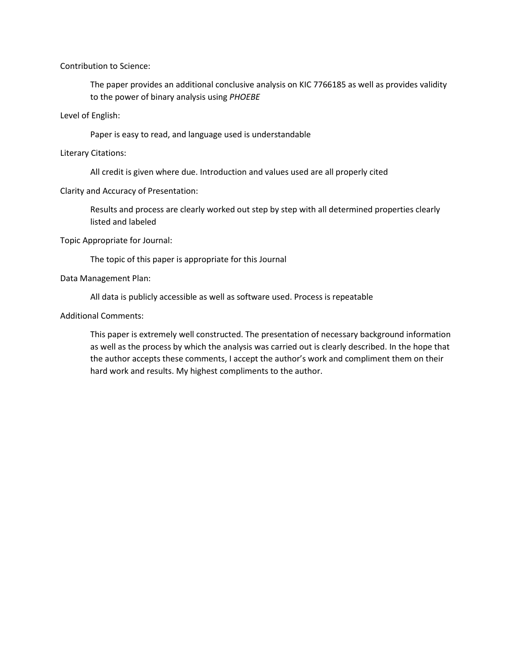Contribution to Science:

The paper provides an additional conclusive analysis on KIC 7766185 as well as provides validity to the power of binary analysis using *PHOEBE*

Level of English:

Paper is easy to read, and language used is understandable

Literary Citations:

All credit is given where due. Introduction and values used are all properly cited

Clarity and Accuracy of Presentation:

Results and process are clearly worked out step by step with all determined properties clearly listed and labeled

Topic Appropriate for Journal:

The topic of this paper is appropriate for this Journal

Data Management Plan:

All data is publicly accessible as well as software used. Process is repeatable

Additional Comments:

This paper is extremely well constructed. The presentation of necessary background information as well as the process by which the analysis was carried out is clearly described. In the hope that the author accepts these comments, I accept the author's work and compliment them on their hard work and results. My highest compliments to the author.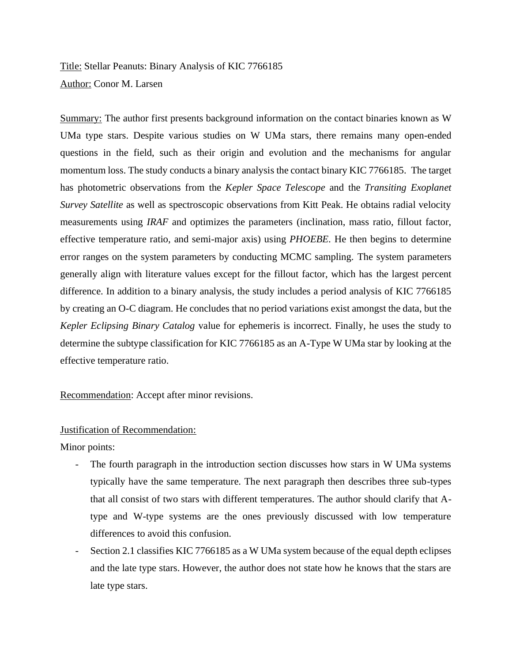Title: Stellar Peanuts: Binary Analysis of KIC 7766185 Author: Conor M. Larsen

Summary: The author first presents background information on the contact binaries known as W UMa type stars. Despite various studies on W UMa stars, there remains many open-ended questions in the field, such as their origin and evolution and the mechanisms for angular momentum loss. The study conducts a binary analysis the contact binary KIC 7766185. The target has photometric observations from the *Kepler Space Telescope* and the *Transiting Exoplanet Survey Satellite* as well as spectroscopic observations from Kitt Peak. He obtains radial velocity measurements using *IRAF* and optimizes the parameters (inclination, mass ratio, fillout factor, effective temperature ratio, and semi-major axis) using *PHOEBE*. He then begins to determine error ranges on the system parameters by conducting MCMC sampling. The system parameters generally align with literature values except for the fillout factor, which has the largest percent difference. In addition to a binary analysis, the study includes a period analysis of KIC 7766185 by creating an O-C diagram. He concludes that no period variations exist amongst the data, but the *Kepler Eclipsing Binary Catalog* value for ephemeris is incorrect. Finally, he uses the study to determine the subtype classification for KIC 7766185 as an A-Type W UMa star by looking at the effective temperature ratio.

Recommendation: Accept after minor revisions.

#### Justification of Recommendation:

Minor points:

- The fourth paragraph in the introduction section discusses how stars in W UMa systems typically have the same temperature. The next paragraph then describes three sub-types that all consist of two stars with different temperatures. The author should clarify that Atype and W-type systems are the ones previously discussed with low temperature differences to avoid this confusion.
- Section 2.1 classifies KIC 7766185 as a W UMa system because of the equal depth eclipses and the late type stars. However, the author does not state how he knows that the stars are late type stars.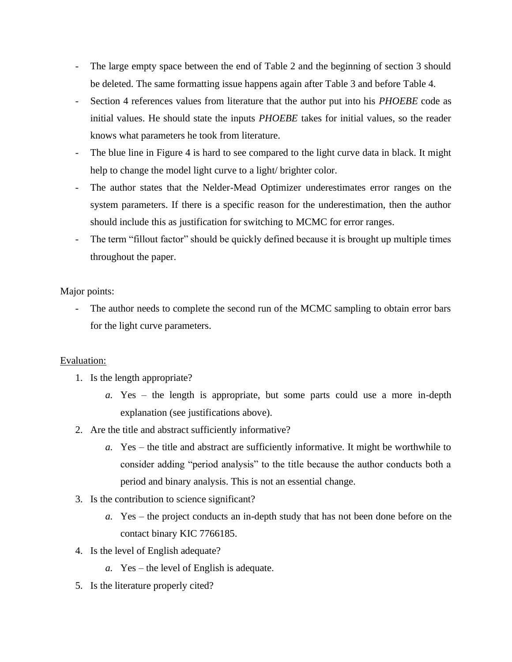- The large empty space between the end of Table 2 and the beginning of section 3 should be deleted. The same formatting issue happens again after Table 3 and before Table 4.
- Section 4 references values from literature that the author put into his *PHOEBE* code as initial values. He should state the inputs *PHOEBE* takes for initial values, so the reader knows what parameters he took from literature.
- The blue line in Figure 4 is hard to see compared to the light curve data in black. It might help to change the model light curve to a light/ brighter color.
- The author states that the Nelder-Mead Optimizer underestimates error ranges on the system parameters. If there is a specific reason for the underestimation, then the author should include this as justification for switching to MCMC for error ranges.
- The term "fillout factor" should be quickly defined because it is brought up multiple times throughout the paper.

Major points:

The author needs to complete the second run of the MCMC sampling to obtain error bars for the light curve parameters.

#### Evaluation:

- 1. Is the length appropriate?
	- *a.* Yes the length is appropriate, but some parts could use a more in-depth explanation (see justifications above).
- 2. Are the title and abstract sufficiently informative?
	- *a.* Yes the title and abstract are sufficiently informative. It might be worthwhile to consider adding "period analysis" to the title because the author conducts both a period and binary analysis. This is not an essential change.
- 3. Is the contribution to science significant?
	- *a.* Yes the project conducts an in-depth study that has not been done before on the contact binary KIC 7766185.
- 4. Is the level of English adequate?
	- *a.* Yes the level of English is adequate.
- 5. Is the literature properly cited?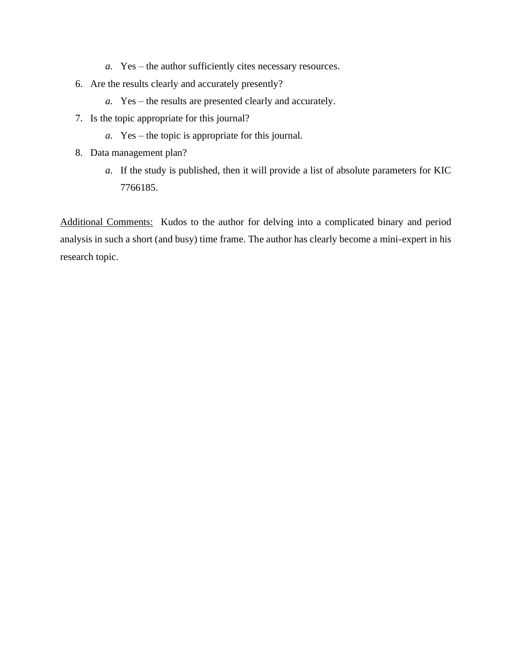- *a.* Yes the author sufficiently cites necessary resources.
- 6. Are the results clearly and accurately presently?
	- *a.* Yes the results are presented clearly and accurately.
- 7. Is the topic appropriate for this journal?
	- *a.* Yes the topic is appropriate for this journal.
- 8. Data management plan?
	- *a.* If the study is published, then it will provide a list of absolute parameters for KIC 7766185.

Additional Comments: Kudos to the author for delving into a complicated binary and period analysis in such a short (and busy) time frame. The author has clearly become a mini-expert in his research topic.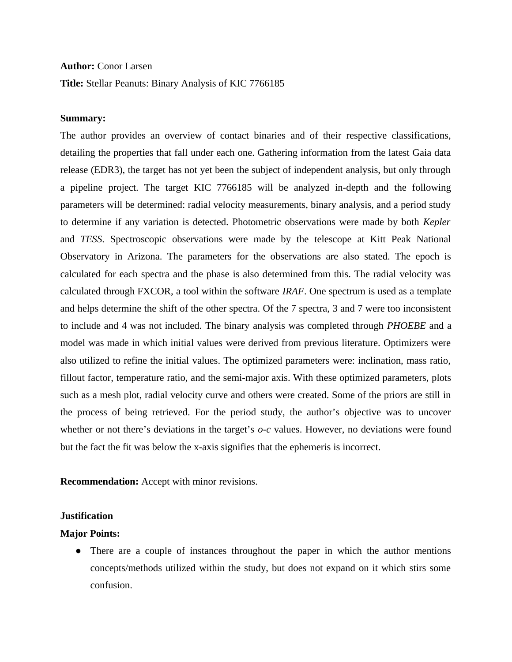#### **Author:** Conor Larsen

**Title:** Stellar Peanuts: Binary Analysis of KIC 7766185

#### **Summary:**

The author provides an overview of contact binaries and of their respective classifications, detailing the properties that fall under each one. Gathering information from the latest Gaia data release (EDR3), the target has not yet been the subject of independent analysis, but only through a pipeline project. The target KIC 7766185 will be analyzed in-depth and the following parameters will be determined: radial velocity measurements, binary analysis, and a period study to determine if any variation is detected. Photometric observations were made by both *Kepler* and *TESS*. Spectroscopic observations were made by the telescope at Kitt Peak National Observatory in Arizona. The parameters for the observations are also stated. The epoch is calculated for each spectra and the phase is also determined from this. The radial velocity was calculated through FXCOR, a tool within the software *IRAF*. One spectrum is used as a template and helps determine the shift of the other spectra. Of the 7 spectra, 3 and 7 were too inconsistent to include and 4 was not included. The binary analysis was completed through *PHOEBE* and a model was made in which initial values were derived from previous literature. Optimizers were also utilized to refine the initial values. The optimized parameters were: inclination, mass ratio, fillout factor, temperature ratio, and the semi-major axis. With these optimized parameters, plots such as a mesh plot, radial velocity curve and others were created. Some of the priors are still in the process of being retrieved. For the period study, the author's objective was to uncover whether or not there's deviations in the target's *o-c* values. However, no deviations were found but the fact the fit was below the x-axis signifies that the ephemeris is incorrect.

**Recommendation:** Accept with minor revisions.

#### **Justification**

#### **Major Points:**

● There are a couple of instances throughout the paper in which the author mentions concepts/methods utilized within the study, but does not expand on it which stirs some confusion.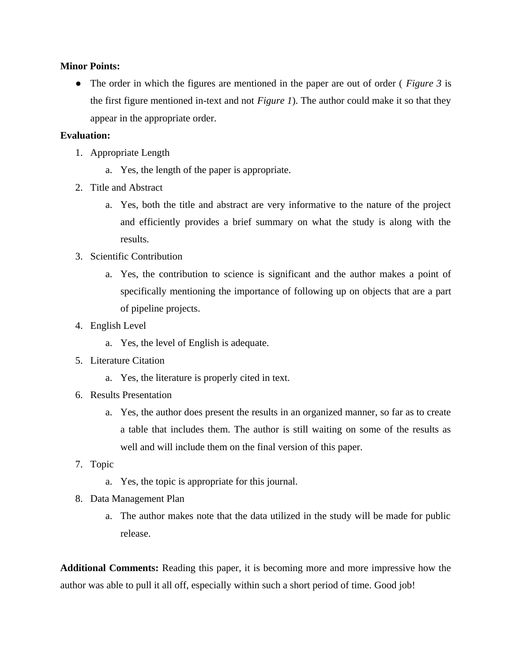#### **Minor Points:**

● The order in which the figures are mentioned in the paper are out of order ( *Figure 3* is the first figure mentioned in-text and not *Figure 1*). The author could make it so that they appear in the appropriate order.

#### **Evaluation:**

- 1. Appropriate Length
	- a. Yes, the length of the paper is appropriate.
- 2. Title and Abstract
	- a. Yes, both the title and abstract are very informative to the nature of the project and efficiently provides a brief summary on what the study is along with the results.
- 3. Scientific Contribution
	- a. Yes, the contribution to science is significant and the author makes a point of specifically mentioning the importance of following up on objects that are a part of pipeline projects.
- 4. English Level
	- a. Yes, the level of English is adequate.
- 5. Literature Citation
	- a. Yes, the literature is properly cited in text.
- 6. Results Presentation
	- a. Yes, the author does present the results in an organized manner, so far as to create a table that includes them. The author is still waiting on some of the results as well and will include them on the final version of this paper.
- 7. Topic
	- a. Yes, the topic is appropriate for this journal.
- 8. Data Management Plan
	- a. The author makes note that the data utilized in the study will be made for public release.

**Additional Comments:** Reading this paper, it is becoming more and more impressive how the author was able to pull it all off, especially within such a short period of time. Good job!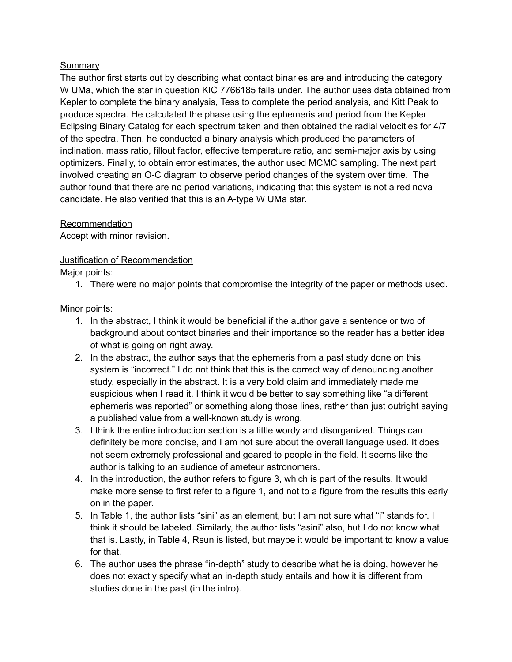### Summary

The author first starts out by describing what contact binaries are and introducing the category W UMa, which the star in question KIC 7766185 falls under. The author uses data obtained from Kepler to complete the binary analysis, Tess to complete the period analysis, and Kitt Peak to produce spectra. He calculated the phase using the ephemeris and period from the Kepler Eclipsing Binary Catalog for each spectrum taken and then obtained the radial velocities for 4/7 of the spectra. Then, he conducted a binary analysis which produced the parameters of inclination, mass ratio, fillout factor, effective temperature ratio, and semi-major axis by using optimizers. Finally, to obtain error estimates, the author used MCMC sampling. The next part involved creating an O-C diagram to observe period changes of the system over time. The author found that there are no period variations, indicating that this system is not a red nova candidate. He also verified that this is an A-type W UMa star.

### Recommendation

Accept with minor revision.

### Justification of Recommendation

Major points:

1. There were no major points that compromise the integrity of the paper or methods used.

Minor points:

- 1. In the abstract, I think it would be beneficial if the author gave a sentence or two of background about contact binaries and their importance so the reader has a better idea of what is going on right away.
- 2. In the abstract, the author says that the ephemeris from a past study done on this system is "incorrect." I do not think that this is the correct way of denouncing another study, especially in the abstract. It is a very bold claim and immediately made me suspicious when I read it. I think it would be better to say something like "a different ephemeris was reported" or something along those lines, rather than just outright saying a published value from a well-known study is wrong.
- 3. I think the entire introduction section is a little wordy and disorganized. Things can definitely be more concise, and I am not sure about the overall language used. It does not seem extremely professional and geared to people in the field. It seems like the author is talking to an audience of ameteur astronomers.
- 4. In the introduction, the author refers to figure 3, which is part of the results. It would make more sense to first refer to a figure 1, and not to a figure from the results this early on in the paper.
- 5. In Table 1, the author lists "sini" as an element, but I am not sure what "i" stands for. I think it should be labeled. Similarly, the author lists "asini" also, but I do not know what that is. Lastly, in Table 4, Rsun is listed, but maybe it would be important to know a value for that.
- 6. The author uses the phrase "in-depth" study to describe what he is doing, however he does not exactly specify what an in-depth study entails and how it is different from studies done in the past (in the intro).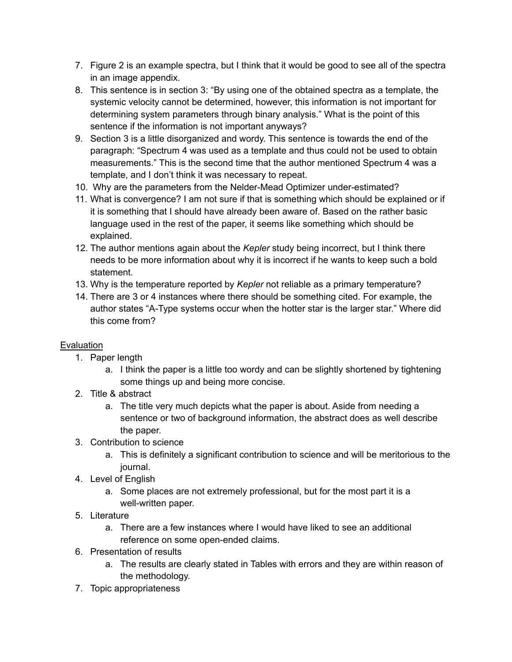- 7. Figure 2 is an example spectra, but I think that it would be good to see all of the spectra in an image appendix.
- 8. This sentence is in section 3: "By using one of the obtained spectra as a template, the systemic velocity cannot be determined, however, this information is not important for determining system parameters through binary analysis." What is the point of this sentence if the information is not important anyways?
- 9. Section 3 is a little disorganized and wordy. This sentence is towards the end of the paragraph: "Spectrum 4 was used as a template and thus could not be used to obtain measurements." This is the second time that the author mentioned Spectrum 4 was a template, and I don't think it was necessary to repeat.
- 10. Why are the parameters from the Nelder-Mead Optimizer under-estimated?
- 11. What is convergence? I am not sure if that is something which should be explained or if it is something that I should have already been aware of. Based on the rather basic language used in the rest of the paper, it seems like something which should be explained.
- 12. The author mentions again about the *Kepler* study being incorrect, but I think there needs to be more information about why it is incorrect if he wants to keep such a bold statement.
- 13. Why is the temperature reported by *Kepler* not reliable as a primary temperature?
- 14. There are 3 or 4 instances where there should be something cited. For example, the author states "A-Type systems occur when the hotter star is the larger star." Where did this come from?

# Evaluation

- 1. Paper length
	- a. I think the paper is a little too wordy and can be slightly shortened by tightening some things up and being more concise.
- 2. Title & abstract
	- a. The title very much depicts what the paper is about. Aside from needing a sentence or two of background information, the abstract does as well describe the paper.
- 3. Contribution to science
	- a. This is definitely a significant contribution to science and will be meritorious to the journal.
- 4. Level of English
	- a. Some places are not extremely professional, but for the most part it is a well-written paper.
- 5. Literature
	- a. There are a few instances where I would have liked to see an additional reference on some open-ended claims.
- 6. Presentation of results
	- a. The results are clearly stated in Tables with errors and they are within reason of the methodology.
- 7. Topic appropriateness